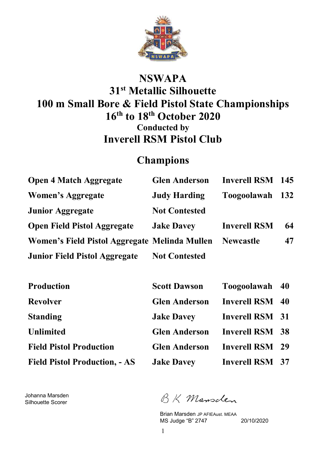

### **NSWAPA 31st Metallic Silhouette 100 m Small Bore & Field Pistol State Championships 16th to 18th October 2020 Conducted by Inverell RSM Pistol Club**

### **Champions**

| <b>Open 4 Match Aggregate</b>                 | <b>Glen Anderson</b> | Inverell RSM 145    |            |
|-----------------------------------------------|----------------------|---------------------|------------|
| Women's Aggregate                             | <b>Judy Harding</b>  | Toogoolawah         | <b>132</b> |
| <b>Junior Aggregate</b>                       | <b>Not Contested</b> |                     |            |
| <b>Open Field Pistol Aggregate</b>            | <b>Jake Davey</b>    | <b>Inverell RSM</b> | 64         |
| Women's Field Pistol Aggregate Melinda Mullen |                      | <b>Newcastle</b>    | 47         |
| <b>Junior Field Pistol Aggregate</b>          | <b>Not Contested</b> |                     |            |

| <b>Production</b>                    | <b>Scott Dawson</b>  | Toogoolawah 40         |  |
|--------------------------------------|----------------------|------------------------|--|
| <b>Revolver</b>                      | <b>Glen Anderson</b> | <b>Inverell RSM</b> 40 |  |
| <b>Standing</b>                      | <b>Jake Davey</b>    | <b>Inverell RSM 31</b> |  |
| <b>Unlimited</b>                     | <b>Glen Anderson</b> | <b>Inverell RSM 38</b> |  |
| <b>Field Pistol Production</b>       | <b>Glen Anderson</b> | <b>Inverell RSM</b> 29 |  |
| <b>Field Pistol Production, - AS</b> | <b>Jake Davey</b>    | <b>Inverell RSM 37</b> |  |

Johanna Marsden Silhouette Scorer

BK Mansclen

Brian Marsden JP AFIEAust. MEAA MS Judge "B" 2747 20/10/2020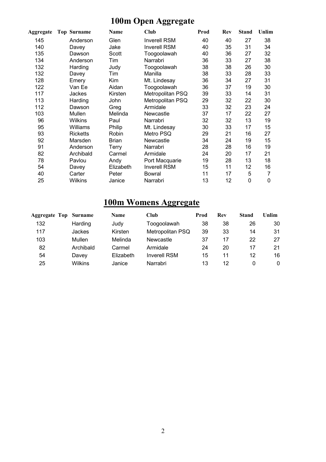## **100m Open Aggregate**

| Aggregate | <b>Top Surname</b> | Name         | Club                | Prod | Rev | <b>Stand</b> | Unlim |
|-----------|--------------------|--------------|---------------------|------|-----|--------------|-------|
| 145       | Anderson           | Glen         | Inverell RSM        | 40   | 40  | 27           | 38    |
| 140       | Davey              | Jake         | <b>Inverell RSM</b> | 40   | 35  | 31           | 34    |
| 135       | Dawson             | Scott        | Toogoolawah         | 40   | 36  | 27           | 32    |
| 134       | Anderson           | Tim          | Narrabri            | 36   | 33  | 27           | 38    |
| 132       | Harding            | Judy         | Toogoolawah         | 38   | 38  | 26           | 30    |
| 132       | Davey              | Tim          | Manilla             | 38   | 33  | 28           | 33    |
| 128       | Emery              | Kim          | Mt. Lindesay        | 36   | 34  | 27           | 31    |
| 122       | Van Ee             | Aidan        | Toogoolawah         | 36   | 37  | 19           | 30    |
| 117       | Jackes             | Kirsten      | Metropolitan PSQ    | 39   | 33  | 14           | 31    |
| 113       | Harding            | John         | Metropolitan PSQ    | 29   | 32  | 22           | 30    |
| 112       | Dawson             | Greg         | Armidale            | 33   | 32  | 23           | 24    |
| 103       | Mullen             | Melinda      | Newcastle           | 37   | 17  | 22           | 27    |
| 96        | Wilkins            | Paul         | Narrabri            | 32   | 32  | 13           | 19    |
| 95        | Williams           | Philip       | Mt. Lindesay        | 30   | 33  | 17           | 15    |
| 93        | <b>Ricketts</b>    | Robin        | Metro PSQ           | 29   | 21  | 16           | 27    |
| 92        | Marsden            | <b>Brian</b> | Newcastle           | 34   | 24  | 19           | 15    |
| 91        | Anderson           | Terry        | Narrabri            | 28   | 28  | 16           | 19    |
| 82        | Archibald          | Carmel       | Armidale            | 24   | 20  | 17           | 21    |
| 78        | Pavlou             | Andy         | Port Macquarie      | 19   | 28  | 13           | 18    |
| 54        | Davey              | Elizabeth    | <b>Inverell RSM</b> | 15   | 11  | 12           | 16    |
| 40        | Carter             | Peter        | Bowral              | 11   | 17  | 5            | 7     |
| 25        | Wilkins            | Janice       | Narrabri            | 13   | 12  | 0            | 0     |

## **100m Womens Aggregate**

| <b>Aggregate Top</b> | Surname   | <b>Name</b> | Club                | Prod | Rev | Stand | Unlim    |
|----------------------|-----------|-------------|---------------------|------|-----|-------|----------|
| 132                  | Harding   | Judy        | Toogoolawah         | 38   | 38  | 26    | 30       |
| 117                  | Jackes    | Kirsten     | Metropolitan PSQ    | 39   | 33  | 14    | 31       |
| 103                  | Mullen    | Melinda     | Newcastle           | 37   | 17  | 22    | 27       |
| 82                   | Archibald | Carmel      | Armidale            | 24   | 20  | 17    | 21       |
| 54                   | Davey     | Elizabeth   | <b>Inverell RSM</b> | 15   | 11  | 12    | 16       |
| 25                   | Wilkins   | Janice      | Narrabri            | 13   | 12  |       | $\Omega$ |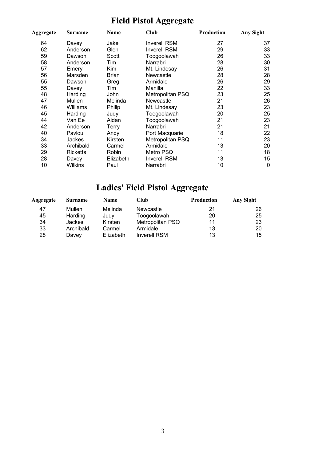# **Field Pistol Aggregate**

| Aggregate | Surname         | Name         | Club                | <b>Production</b> | Any Sight |
|-----------|-----------------|--------------|---------------------|-------------------|-----------|
| 64        | Davey           | Jake         | <b>Inverell RSM</b> | 27                | 37        |
| 62        | Anderson        | Glen         | <b>Inverell RSM</b> | 29                | 33        |
| 59        | Dawson          | Scott        | Toogoolawah         | 26                | 33        |
| 58        | Anderson        | Tim          | Narrabri            | 28                | 30        |
| 57        | Emery           | Kim          | Mt. Lindesay        | 26                | 31        |
| 56        | Marsden         | <b>Brian</b> | Newcastle           | 28                | 28        |
| 55        | Dawson          | Greg         | Armidale            | 26                | 29        |
| 55        | Davey           | Tim          | Manilla             | 22                | 33        |
| 48        | Harding         | John         | Metropolitan PSQ    | 23                | 25        |
| 47        | Mullen          | Melinda      | Newcastle           | 21                | 26        |
| 46        | Williams        | Philip       | Mt. Lindesay        | 23                | 23        |
| 45        | Harding         | Judy         | Toogoolawah         | 20                | 25        |
| 44        | Van Ee          | Aidan        | Toogoolawah         | 21                | 23        |
| 42        | Anderson        | Terry        | Narrabri            | 21                | 21        |
| 40        | Pavlou          | Andy         | Port Macquarie      | 18                | 22        |
| 34        | Jackes          | Kirsten      | Metropolitan PSQ    | 11                | 23        |
| 33        | Archibald       | Carmel       | Armidale            | 13                | 20        |
| 29        | <b>Ricketts</b> | Robin        | Metro PSQ           | 11                | 18        |
| 28        | Davey           | Elizabeth    | <b>Inverell RSM</b> | 13                | 15        |
| 10        | Wilkins         | Paul         | Narrabri            | 10                | 0         |

## **Ladies' Field Pistol Aggregate**

| Aggregate | <b>Surname</b> | <b>Name</b> | <b>Club</b>         | <b>Production</b> | Any Sight |
|-----------|----------------|-------------|---------------------|-------------------|-----------|
| 47        | Mullen         | Melinda     | Newcastle           | 21                | 26        |
| 45        | Harding        | Judv        | Toogoolawah         | 20                | 25        |
| 34        | <b>Jackes</b>  | Kirsten     | Metropolitan PSQ    | 11                | 23        |
| 33        | Archibald      | Carmel      | Armidale            | 13                | 20        |
| 28        | Davey          | Elizabeth   | <b>Inverell RSM</b> | 13                | 15        |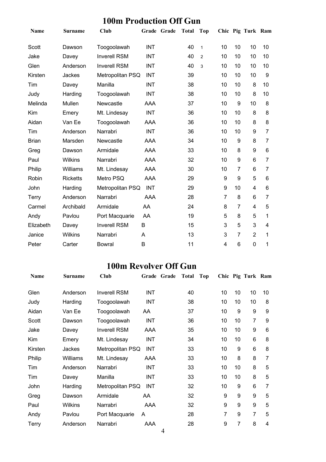### **100m Production Off Gun**

| <b>Name</b>  | <b>Surname</b>  | Club                |            | Grade Grade | <b>Total</b> | <b>Top</b>     |                |                | Chic Pig Turk Ram |    |
|--------------|-----------------|---------------------|------------|-------------|--------------|----------------|----------------|----------------|-------------------|----|
| Scott        | Dawson          | Toogoolawah         | <b>INT</b> |             | 40           | $\mathbf{1}$   | 10             | 10             | 10                | 10 |
| Jake         | Davey           | <b>Inverell RSM</b> | <b>INT</b> |             | 40           | $\overline{2}$ | 10             | 10             | 10                | 10 |
| Glen         | Anderson        | <b>Inverell RSM</b> | <b>INT</b> |             | 40           | 3              | 10             | 10             | 10                | 10 |
| Kirsten      | Jackes          | Metropolitan PSQ    | <b>INT</b> |             | 39           |                | 10             | 10             | 10                | 9  |
| Tim          | Davey           | Manilla             | <b>INT</b> |             | 38           |                | 10             | 10             | 8                 | 10 |
| Judy         | Harding         | Toogoolawah         | <b>INT</b> |             | 38           |                | 10             | 10             | 8                 | 10 |
| Melinda      | Mullen          | Newcastle           | AAA        |             | 37           |                | 10             | 9              | 10                | 8  |
| Kim          | Emery           | Mt. Lindesay        | <b>INT</b> |             | 36           |                | 10             | 10             | 8                 | 8  |
| Aidan        | Van Ee          | Toogoolawah         | AAA        |             | 36           |                | 10             | 10             | 8                 | 8  |
| Tim          | Anderson        | Narrabri            | <b>INT</b> |             | 36           |                | 10             | 10             | 9                 | 7  |
| <b>Brian</b> | Marsden         | Newcastle           | AAA        |             | 34           |                | 10             | 9              | 8                 | 7  |
| Greg         | Dawson          | Armidale            | AAA        |             | 33           |                | 10             | 8              | 9                 | 6  |
| Paul         | <b>Wilkins</b>  | Narrabri            | AAA        |             | 32           |                | 10             | 9              | 6                 | 7  |
| Philip       | Williams        | Mt. Lindesay        | AAA        |             | 30           |                | 10             | 7              | 6                 | 7  |
| Robin        | <b>Ricketts</b> | Metro PSQ           | <b>AAA</b> |             | 29           |                | 9              | 9              | 5                 | 6  |
| John         | Harding         | Metropolitan PSQ    | <b>INT</b> |             | 29           |                | 9              | 10             | 4                 | 6  |
| Terry        | Anderson        | Narrabri            | <b>AAA</b> |             | 28           |                | $\overline{7}$ | 8              | 6                 | 7  |
| Carmel       | Archibald       | Armidale            | AA         |             | 24           |                | 8              | $\overline{7}$ | 4                 | 5  |
| Andy         | Pavlou          | Port Macquarie      | AA         |             | 19           |                | 5              | 8              | 5                 | 1  |
| Elizabeth    | Davey           | <b>Inverell RSM</b> | B          |             | 15           |                | 3              | 5              | 3                 | 4  |
| Janice       | Wilkins         | Narrabri            | A          |             | 13           |                | 3              | 7              | $\overline{2}$    | 1  |
| Peter        | Carter          | <b>Bowral</b>       | B          |             | 11           |                | 4              | 6              | 0                 | 1  |

#### **100m Revolver Off Gun**

| Name    | <b>Surname</b> | <b>Club</b>         | Grade Grade | <b>Total</b> | Top |    |                | Chic Pig Turk Ram |    |
|---------|----------------|---------------------|-------------|--------------|-----|----|----------------|-------------------|----|
| Glen    | Anderson       | <b>Inverell RSM</b> | <b>INT</b>  | 40           |     | 10 | 10             | 10                | 10 |
| Judy    | Harding        | Toogoolawah         | <b>INT</b>  | 38           |     | 10 | 10             | 10                | 8  |
| Aidan   | Van Ee         | Toogoolawah         | AA          | 37           |     | 10 | 9              | 9                 | 9  |
| Scott   | Dawson         | Toogoolawah         | <b>INT</b>  | 36           |     | 10 | 10             | $\overline{7}$    | 9  |
| Jake    | Davey          | <b>Inverell RSM</b> | AAA         | 35           |     | 10 | 10             | 9                 | 6  |
| Kim     | Emery          | Mt. Lindesay        | INT         | 34           |     | 10 | 10             | 6                 | 8  |
| Kirsten | Jackes         | Metropolitan PSQ    | <b>INT</b>  | 33           |     | 10 | 9              | 6                 | 8  |
| Philip  | Williams       | Mt. Lindesay        | AAA         | 33           |     | 10 | 8              | 8                 | 7  |
| Tim     | Anderson       | Narrabri            | <b>INT</b>  | 33           |     | 10 | 10             | 8                 | 5  |
| Tim     | Davey          | Manilla             | INT         | 33           |     | 10 | 10             | 8                 | 5  |
| John    | Harding        | Metropolitan PSQ    | <b>INT</b>  | 32           |     | 10 | 9              | 6                 | 7  |
| Greg    | Dawson         | Armidale            | AA          | 32           |     | 9  | 9              | 9                 | 5  |
| Paul    | Wilkins        | Narrabri            | AAA         | 32           |     | 9  | 9              | 9                 | 5  |
| Andy    | Pavlou         | Port Macquarie      | A           | 28           |     | 7  | 9              | 7                 | 5  |
| Terry   | Anderson       | Narrabri            | AAA         | 28           |     | 9  | $\overline{7}$ | 8                 | 4  |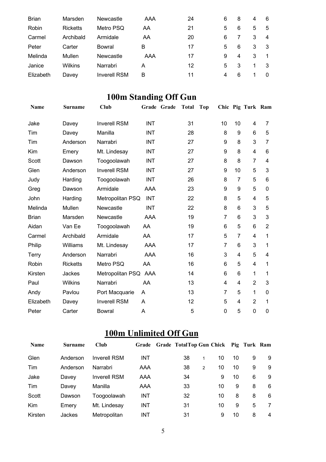| <b>Brian</b> | Marsden         | Newcastle           | AAA | 24 | 6 | 8 | 4 | 6        |
|--------------|-----------------|---------------------|-----|----|---|---|---|----------|
| Robin        | <b>Ricketts</b> | Metro PSQ           | AA  | 21 | 5 | 6 | 5 | 5        |
| Carmel       | Archibald       | Armidale            | AA  | 20 | 6 |   | 3 | 4        |
| Peter        | Carter          | Bowral              | в   | 17 | 5 | 6 | 3 | -3       |
| Melinda      | Mullen          | Newcastle           | AAA | 17 | 9 | 4 | 3 |          |
| Janice       | Wilkins         | Narrabri            | A   | 12 | 5 | 3 | 1 | 3        |
| Elizabeth    | Davey           | <b>Inverell RSM</b> | B   | 11 | 4 | 6 |   | $\Omega$ |

## **100m Standing Off Gun**

| <b>Name</b>  | <b>Surname</b>  | Club                 | Grade      | Grade | <b>Total</b> | <b>Top</b> |    |                | Chic Pig Turk Ram |                |
|--------------|-----------------|----------------------|------------|-------|--------------|------------|----|----------------|-------------------|----------------|
| Jake         | Davey           | <b>Inverell RSM</b>  | <b>INT</b> |       | 31           |            | 10 | 10             | 4                 | 7              |
| Tim          | Davey           | Manilla              | <b>INT</b> |       | 28           |            | 8  | 9              | 6                 | 5              |
| Tim          | Anderson        | Narrabri             | <b>INT</b> |       | 27           |            | 9  | 8              | 3                 | $\overline{7}$ |
| Kim          | Emery           | Mt. Lindesay         | INT        |       | 27           |            | 9  | 8              | 4                 | 6              |
| <b>Scott</b> | Dawson          | Toogoolawah          | <b>INT</b> |       | 27           |            | 8  | 8              | $\overline{7}$    | 4              |
| Glen         | Anderson        | <b>Inverell RSM</b>  | <b>INT</b> |       | 27           |            | 9  | 10             | 5                 | 3              |
| Judy         | Harding         | Toogoolawah          | <b>INT</b> |       | 26           |            | 8  | $\overline{7}$ | 5                 | 6              |
| Greg         | Dawson          | Armidale             | <b>AAA</b> |       | 23           |            | 9  | 9              | 5                 | 0              |
| John         | Harding         | Metropolitan PSQ     | <b>INT</b> |       | 22           |            | 8  | 5              | 4                 | 5              |
| Melinda      | Mullen          | Newcastle            | <b>INT</b> |       | 22           |            | 8  | 6              | 3                 | 5              |
| <b>Brian</b> | Marsden         | Newcastle            | AAA        |       | 19           |            | 7  | 6              | 3                 | 3              |
| Aidan        | Van Ee          | Toogoolawah          | AA         |       | 19           |            | 6  | 5              | 6                 | $\overline{2}$ |
| Carmel       | Archibald       | Armidale             | AA         |       | 17           |            | 5  | $\overline{7}$ | 4                 | 1              |
| Philip       | Williams        | Mt. Lindesay         | <b>AAA</b> |       | 17           |            | 7  | 6              | 3                 | 1              |
| Terry        | Anderson        | Narrabri             | AAA        |       | 16           |            | 3  | 4              | 5                 | 4              |
| Robin        | <b>Ricketts</b> | Metro PSQ            | AA         |       | 16           |            | 6  | 5              | 4                 | 1              |
| Kirsten      | Jackes          | Metropolitan PSQ AAA |            |       | 14           |            | 6  | 6              | 1                 | 1              |
| Paul         | <b>Wilkins</b>  | Narrabri             | AA         |       | 13           |            | 4  | 4              | $\overline{2}$    | 3              |
| Andy         | Pavlou          | Port Macquarie       | Α          |       | 13           |            | 7  | 5              | $\mathbf{1}$      | 0              |
| Elizabeth    | Davey           | <b>Inverell RSM</b>  | A          |       | 12           |            | 5  | 4              | $\overline{2}$    | 1              |
| Peter        | Carter          | <b>Bowral</b>        | A          |       | 5            |            | 0  | 5              | 0                 | 0              |

### **100m Unlimited Off Gun**

| <b>Name</b> | <b>Surname</b> | Club                | Grade      | Grade TotalTop Gun Chick Pig Turk Ram |   |    |    |   |   |
|-------------|----------------|---------------------|------------|---------------------------------------|---|----|----|---|---|
| Glen        | Anderson       | <b>Inverell RSM</b> | INT        | 38                                    | 1 | 10 | 10 | 9 | 9 |
| Tim         | Anderson       | Narrabri            | AAA        | 38                                    | 2 | 10 | 10 | 9 | 9 |
| Jake        | Davey          | <b>Inverell RSM</b> | AAA        | 34                                    |   | 9  | 10 | 6 | 9 |
| Tim         | Davey          | Manilla             | AAA        | 33                                    |   | 10 | 9  | 8 | 6 |
| Scott       | Dawson         | Toogoolawah         | <b>INT</b> | 32                                    |   | 10 | 8  | 8 | 6 |
| Kim         | Emery          | Mt. Lindesay        | <b>INT</b> | 31                                    |   | 10 | 9  | 5 | 7 |
| Kirsten     | Jackes         | <b>Metropolitan</b> | INT        | 31                                    |   | 9  | 10 | 8 | 4 |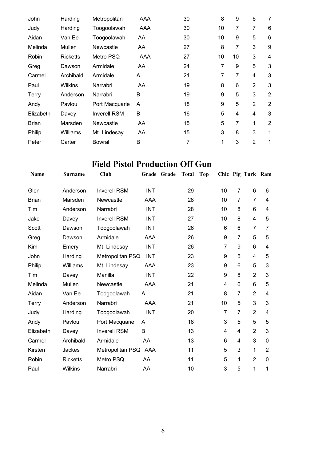| Harding         | Metropolitan        | AAA | 30 | 8              | 9  | 6              | 7              |
|-----------------|---------------------|-----|----|----------------|----|----------------|----------------|
| Harding         | Toogoolawah         | AAA | 30 | 10             | 7  | 7              | 6              |
| Van Ee          | Toogoolawah         | AA  | 30 | 10             | 9  | 5              | 6              |
| Mullen          | Newcastle           | AA. | 27 | 8              | 7  | 3              | 9              |
| <b>Ricketts</b> | Metro PSQ           | AAA | 27 | 10             | 10 | 3              | 4              |
| Dawson          | Armidale            | AA. | 24 | $\overline{7}$ | 9  | 5              | 3              |
| Archibald       | Armidale            | A   | 21 | 7              | 7  | 4              | 3              |
| Wilkins         | Narrabri            | AA  | 19 | 8              | 6  | $\overline{2}$ | 3              |
| Anderson        | Narrabri            | B   | 19 | 9              | 5  | 3              | $\overline{2}$ |
| Pavlou          | Port Macquarie      | A   | 18 | 9              | 5  | 2              | $\overline{2}$ |
| Davey           | <b>Inverell RSM</b> | B   | 16 | 5              | 4  | $\overline{4}$ | 3              |
| Marsden         | Newcastle           | AA  | 15 | 5              | 7  | 1              | $\overline{2}$ |
| Williams        | Mt. Lindesay        | AA  | 15 | 3              | 8  | 3              | 1              |
| Carter          | <b>Bowral</b>       | В   | 7  | 1              | 3  | $\overline{2}$ | 1              |
|                 |                     |     |    |                |    |                |                |

### **Field Pistol Production Off Gun**

| Name         | <b>Surname</b>  | Club                 | Grade      | Grade | <b>Total</b> | <b>Top</b> |    |                | Chic Pig Turk Ram |             |
|--------------|-----------------|----------------------|------------|-------|--------------|------------|----|----------------|-------------------|-------------|
| Glen         | Anderson        | <b>Inverell RSM</b>  | <b>INT</b> |       | 29           |            | 10 | $\overline{7}$ | 6                 | 6           |
| <b>Brian</b> | Marsden         | Newcastle            | AAA        |       | 28           |            | 10 | $\overline{7}$ | $\overline{7}$    | 4           |
| Tim          | Anderson        | Narrabri             | <b>INT</b> |       | 28           |            | 10 | 8              | 6                 | 4           |
| Jake         | Davey           | <b>Inverell RSM</b>  | <b>INT</b> |       | 27           |            | 10 | 8              | $\overline{4}$    | 5           |
| Scott        | Dawson          | Toogoolawah          | <b>INT</b> |       | 26           |            | 6  | 6              | 7                 | 7           |
| Greg         | Dawson          | Armidale             | AAA        |       | 26           |            | 9  | $\overline{7}$ | 5                 | 5           |
| Kim          | Emery           | Mt. Lindesay         | <b>INT</b> |       | 26           |            | 7  | 9              | 6                 | 4           |
| John         | Harding         | Metropolitan PSQ     | <b>INT</b> |       | 23           |            | 9  | 5              | 4                 | 5           |
| Philip       | Williams        | Mt. Lindesay         | AAA        |       | 23           |            | 9  | 6              | 5                 | 3           |
| Tim          | Davey           | Manilla              | <b>INT</b> |       | 22           |            | 9  | 8              | $\overline{2}$    | 3           |
| Melinda      | Mullen          | Newcastle            | AAA        |       | 21           |            | 4  | 6              | 6                 | 5           |
| Aidan        | Van Ee          | Toogoolawah          | A          |       | 21           |            | 8  | $\overline{7}$ | $\overline{2}$    | 4           |
| Terry        | Anderson        | Narrabri             | AAA        |       | 21           |            | 10 | 5              | 3                 | 3           |
| Judy         | Harding         | Toogoolawah          | <b>INT</b> |       | 20           |            | 7  | $\overline{7}$ | $\overline{2}$    | 4           |
| Andy         | Pavlou          | Port Macquarie       | A          |       | 18           |            | 3  | 5              | 5                 | 5           |
| Elizabeth    | Davey           | <b>Inverell RSM</b>  | B          |       | 13           |            | 4  | 4              | $\overline{2}$    | 3           |
| Carmel       | Archibald       | Armidale             | AA         |       | 13           |            | 6  | 4              | 3                 | 0           |
| Kirsten      | Jackes          | Metropolitan PSQ AAA |            |       | 11           |            | 5  | 3              | 1                 | 2           |
| Robin        | <b>Ricketts</b> | Metro PSQ            | AA         |       | 11           |            | 5  | 4              | $\overline{2}$    | $\mathbf 0$ |
| Paul         | <b>Wilkins</b>  | Narrabri             | AA         |       | 10           |            | 3  | 5              | 1                 | 1           |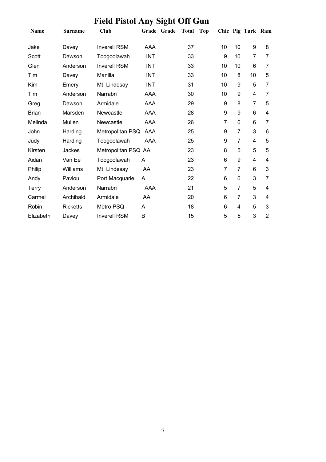# **Field Pistol Any Sight Off Gun**

| <b>Name</b>  | <b>Surname</b>  | Club                | Grade      | Grade | <b>Total</b> | <b>Top</b> |                |                 | Chic Pig Turk Ram |                |
|--------------|-----------------|---------------------|------------|-------|--------------|------------|----------------|-----------------|-------------------|----------------|
| Jake         | Davey           | <b>Inverell RSM</b> | <b>AAA</b> |       | 37           |            | 10             | 10              | 9                 | 8              |
| Scott        | Dawson          | Toogoolawah         | <b>INT</b> |       | 33           |            | 9              | 10              | 7                 | 7              |
| Glen         | Anderson        | <b>Inverell RSM</b> | <b>INT</b> |       | 33           |            | 10             | 10              | 6                 | 7              |
| Tim          | Davey           | Manilla             | INT        |       | 33           |            | 10             | 8               | 10                | 5              |
| Kim          | Emery           | Mt. Lindesay        | <b>INT</b> |       | 31           |            | 10             | 9               | 5                 | 7              |
| Tim          | Anderson        | Narrabri            | <b>AAA</b> |       | 30           |            | 10             | 9               | 4                 | 7              |
| Greg         | Dawson          | Armidale            | <b>AAA</b> |       | 29           |            | 9              | 8               | $\overline{7}$    | 5              |
| <b>Brian</b> | Marsden         | Newcastle           | <b>AAA</b> |       | 28           |            | 9              | 9               | 6                 | 4              |
| Melinda      | Mullen          | Newcastle           | AAA        |       | 26           |            | 7              | $6\phantom{1}6$ | 6                 | 7              |
| John         | Harding         | Metropolitan PSQ    | AAA        |       | 25           |            | 9              | $\overline{7}$  | 3                 | 6              |
| Judy         | Harding         | Toogoolawah         | AAA        |       | 25           |            | 9              | $\overline{7}$  | 4                 | 5              |
| Kirsten      | Jackes          | Metropolitan PSQ AA |            |       | 23           |            | 8              | 5               | 5                 | 5              |
| Aidan        | Van Ee          | Toogoolawah         | A          |       | 23           |            | 6              | 9               | 4                 | 4              |
| Philip       | Williams        | Mt. Lindesay        | AA         |       | 23           |            | $\overline{7}$ | $\overline{7}$  | 6                 | 3              |
| Andy         | Pavlou          | Port Macquarie      | A          |       | 22           |            | 6              | 6               | 3                 | 7              |
| <b>Terry</b> | Anderson        | Narrabri            | AAA        |       | 21           |            | 5              | 7               | 5                 | 4              |
| Carmel       | Archibald       | Armidale            | AA         |       | 20           |            | 6              | 7               | 3                 | 4              |
| Robin        | <b>Ricketts</b> | Metro PSQ           | A          |       | 18           |            | 6              | 4               | 5                 | 3              |
| Elizabeth    | Davey           | <b>Inverell RSM</b> | B          |       | 15           |            | 5              | 5               | 3                 | $\overline{2}$ |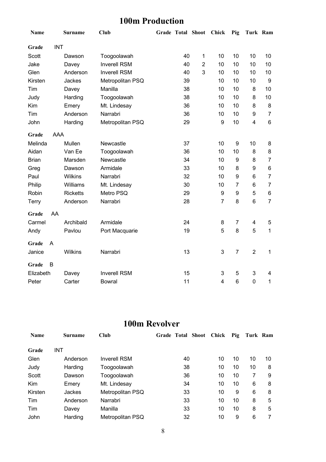### **100m Production**

| Name         |                | <b>Surname</b>  | <b>Club</b>         |    | Grade Total Shoot Chick |                | Pig            | Turk Ram                |                |
|--------------|----------------|-----------------|---------------------|----|-------------------------|----------------|----------------|-------------------------|----------------|
| Grade        | <b>INT</b>     |                 |                     |    |                         |                |                |                         |                |
| Scott        |                | Dawson          | Toogoolawah         | 40 | 1                       | 10             | 10             | 10                      | 10             |
| Jake         |                | Davey           | <b>Inverell RSM</b> | 40 | $\overline{2}$          | 10             | 10             | 10                      | 10             |
| Glen         |                | Anderson        | <b>Inverell RSM</b> | 40 | 3                       | 10             | 10             | 10                      | 10             |
| Kirsten      |                | Jackes          | Metropolitan PSQ    | 39 |                         | 10             | 10             | 10                      | 9              |
| Tim          |                | Davey           | Manilla             | 38 |                         | 10             | 10             | 8                       | 10             |
| Judy         |                | Harding         | Toogoolawah         | 38 |                         | 10             | 10             | 8                       | 10             |
| Kim          |                | Emery           | Mt. Lindesay        | 36 |                         | 10             | 10             | 8                       | 8              |
| Tim          |                | Anderson        | Narrabri            | 36 |                         | 10             | 10             | 9                       | $\overline{7}$ |
| John         |                | Harding         | Metropolitan PSQ    | 29 |                         | 9              | 10             | $\overline{\mathbf{4}}$ | 6              |
| Grade        | AAA            |                 |                     |    |                         |                |                |                         |                |
| Melinda      |                | Mullen          | Newcastle           | 37 |                         | 10             | 9              | 10                      | 8              |
| Aidan        |                | Van Ee          | Toogoolawah         | 36 |                         | 10             | 10             | 8                       | 8              |
| <b>Brian</b> |                | Marsden         | Newcastle           | 34 |                         | 10             | 9              | 8                       | 7              |
| Greg         |                | Dawson          | Armidale            | 33 |                         | 10             | 8              | 9                       | 6              |
| Paul         |                | Wilkins         | Narrabri            | 32 |                         | 10             | 9              | 6                       | $\overline{7}$ |
| Philip       |                | Williams        | Mt. Lindesay        | 30 |                         | 10             | $\overline{7}$ | 6                       | $\overline{7}$ |
| Robin        |                | <b>Ricketts</b> | Metro PSQ           | 29 |                         | 9              | 9              | 5                       | 6              |
| Terry        |                | Anderson        | Narrabri            | 28 |                         | $\overline{7}$ | 8              | $6\phantom{1}6$         | $\overline{7}$ |
| Grade        | AA             |                 |                     |    |                         |                |                |                         |                |
| Carmel       |                | Archibald       | Armidale            | 24 |                         | 8              | 7              | 4                       | 5              |
| Andy         |                | Pavlou          | Port Macquarie      | 19 |                         | 5              | 8              | 5                       | $\mathbf 1$    |
| Grade        | $\overline{A}$ |                 |                     |    |                         |                |                |                         |                |
| Janice       |                | Wilkins         | Narrabri            | 13 |                         | 3              | $\overline{7}$ | $\overline{2}$          | 1              |
| Grade        | B              |                 |                     |    |                         |                |                |                         |                |
| Elizabeth    |                | Davey           | <b>Inverell RSM</b> | 15 |                         | 3              | 5              | 3                       | 4              |
| Peter        |                | Carter          | <b>Bowral</b>       | 11 |                         | 4              | 6              | $\mathbf 0$             | 1              |

### **100m Revolver**

| <b>Name</b> | Surname    | Club                |    | Grade Total Shoot Chick | Pig | Turk Ram |    |
|-------------|------------|---------------------|----|-------------------------|-----|----------|----|
| Grade       | <b>INT</b> |                     |    |                         |     |          |    |
| Glen        | Anderson   | <b>Inverell RSM</b> | 40 | 10                      | 10  | 10       | 10 |
| Judy        | Harding    | Toogoolawah         | 38 | 10                      | 10  | 10       | 8  |
| Scott       | Dawson     | Toogoolawah         | 36 | 10                      | 10  | 7        | 9  |
| <b>Kim</b>  | Emery      | Mt. Lindesay        | 34 | 10                      | 10  | 6        | 8  |
| Kirsten     | Jackes     | Metropolitan PSQ    | 33 | 10                      | 9   | 6        | 8  |
| Tim         | Anderson   | Narrabri            | 33 | 10                      | 10  | 8        | 5  |
| Tim         | Davey      | Manilla             | 33 | 10                      | 10  | 8        | 5  |
| John        | Harding    | Metropolitan PSQ    | 32 | 10                      | 9   | 6        |    |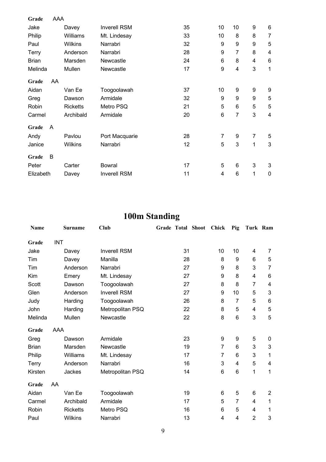| Grade        | AAA |                 |                     |    |                  |    |                  |                         |
|--------------|-----|-----------------|---------------------|----|------------------|----|------------------|-------------------------|
| Jake         |     | Davey           | <b>Inverell RSM</b> | 35 | 10               | 10 | 9                | $\,6$                   |
| Philip       |     | Williams        | Mt. Lindesay        | 33 | 10               | 8  | 8                | 7                       |
| Paul         |     | <b>Wilkins</b>  | Narrabri            | 32 | 9                | 9  | 9                | 5                       |
| Terry        |     | Anderson        | Narrabri            | 28 | $\boldsymbol{9}$ | 7  | 8                | $\overline{\mathbf{4}}$ |
| <b>Brian</b> |     | Marsden         | Newcastle           | 24 | $6\phantom{1}6$  | 8  | 4                | $\,6$                   |
| Melinda      |     | Mullen          | Newcastle           | 17 | 9                | 4  | 3                | 1                       |
| Grade        | AA  |                 |                     |    |                  |    |                  |                         |
| Aidan        |     | Van Ee          | Toogoolawah         | 37 | 10               | 9  | 9                | 9                       |
| Greg         |     | Dawson          | Armidale            | 32 | 9                | 9  | $\boldsymbol{9}$ | 5                       |
| Robin        |     | <b>Ricketts</b> | Metro PSQ           | 21 | 5                | 6  | 5                | 5                       |
| Carmel       |     | Archibald       | Armidale            | 20 | $6\phantom{1}6$  | 7  | 3                | $\overline{4}$          |
| Grade        | A   |                 |                     |    |                  |    |                  |                         |
| Andy         |     | Pavlou          | Port Macquarie      | 28 | $\overline{7}$   | 9  | 7                | 5                       |
| Janice       |     | <b>Wilkins</b>  | Narrabri            | 12 | 5                | 3  | 1                | $\mathfrak{3}$          |
| Grade        | B   |                 |                     |    |                  |    |                  |                         |
| Peter        |     | Carter          | <b>Bowral</b>       | 17 | 5                | 6  | 3                | $\mathbf{3}$            |
| Elizabeth    |     | Davey           | <b>Inverell RSM</b> | 11 | $\overline{4}$   | 6  | 1                | $\mathbf 0$             |

## **100m Standing**

| Name         |            | <b>Surname</b>  | Club                |    | <b>Grade Total Shoot</b> | <b>Chick</b>   | Pig            | Turk Ram       |                |
|--------------|------------|-----------------|---------------------|----|--------------------------|----------------|----------------|----------------|----------------|
| Grade        | <b>INT</b> |                 |                     |    |                          |                |                |                |                |
| Jake         |            | Davey           | <b>Inverell RSM</b> | 31 |                          | 10             | 10             | 4              | 7              |
| Tim          |            | Davey           | Manilla             | 28 |                          | 8              | 9              | 6              | 5              |
| Tim          |            | Anderson        | Narrabri            | 27 |                          | 9              | 8              | 3              | 7              |
| Kim          |            | Emery           | Mt. Lindesay        | 27 |                          | 9              | 8              | 4              | 6              |
| Scott        |            | Dawson          | Toogoolawah         | 27 |                          | 8              | 8              | $\overline{7}$ | 4              |
| Glen         |            | Anderson        | <b>Inverell RSM</b> | 27 |                          | 9              | 10             | 5              | 3              |
| Judy         |            | Harding         | Toogoolawah         | 26 |                          | 8              | $\overline{7}$ | 5              | 6              |
| John         |            | Harding         | Metropolitan PSQ    | 22 |                          | 8              | 5              | 4              | $\mathbf 5$    |
| Melinda      |            | Mullen          | Newcastle           | 22 |                          | 8              | 6              | 3              | 5              |
| Grade        | AAA        |                 |                     |    |                          |                |                |                |                |
| Greg         |            | Dawson          | Armidale            | 23 |                          | 9              | 9              | 5              | 0              |
| <b>Brian</b> |            | Marsden         | Newcastle           | 19 |                          | $\overline{7}$ | 6              | 3              | 3              |
| Philip       |            | Williams        | Mt. Lindesay        | 17 |                          | 7              | 6              | 3              | 1              |
| Terry        |            | Anderson        | Narrabri            | 16 |                          | 3              | 4              | 5              | 4              |
| Kirsten      |            | Jackes          | Metropolitan PSQ    | 14 |                          | 6              | 6              | 1              | 1              |
| Grade        | AA         |                 |                     |    |                          |                |                |                |                |
| Aidan        |            | Van Ee          | Toogoolawah         | 19 |                          | 6              | 5              | 6              | $\overline{2}$ |
| Carmel       |            | Archibald       | Armidale            | 17 |                          | 5              | 7              | 4              | 1              |
| Robin        |            | <b>Ricketts</b> | Metro PSQ           | 16 |                          | 6              | 5              | 4              | 1              |
| Paul         |            | Wilkins         | Narrabri            | 13 |                          | 4              | 4              | $\overline{2}$ | 3              |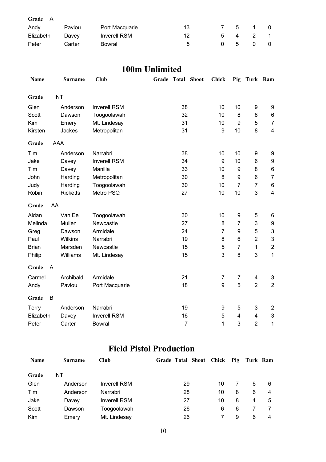| Grade A   |        |                     |    |              |             |              |                |
|-----------|--------|---------------------|----|--------------|-------------|--------------|----------------|
| Andy      | Pavlou | Port Macquarie      | 13 |              | $5^{\circ}$ | $\mathbf{1}$ | $\Omega$       |
| Elizabeth | Davey  | <b>Inverell RSM</b> | 12 | 5.           | 4           |              | $\overline{1}$ |
| Peter     | Carter | Bowral              | -5 | <sup>n</sup> | - 5         |              | 0              |

#### **100m Unlimited**

| Name         |            | <b>Surname</b>  | <b>Club</b>         | Grade Total Shoot |                | <b>Chick</b> | Pig             | Turk Ram       |                           |
|--------------|------------|-----------------|---------------------|-------------------|----------------|--------------|-----------------|----------------|---------------------------|
| Grade        | <b>INT</b> |                 |                     |                   |                |              |                 |                |                           |
| Glen         |            | Anderson        | <b>Inverell RSM</b> |                   | 38             | 10           | 10              | 9              | 9                         |
| Scott        |            | Dawson          | Toogoolawah         |                   | 32             | 10           | 8               | 8              | 6                         |
| Kim          |            | Emery           | Mt. Lindesay        |                   | 31             | 10           | 9               | 5              | $\overline{7}$            |
| Kirsten      |            | Jackes          | Metropolitan        |                   | 31             | 9            | 10              | 8              | $\overline{\mathbf{4}}$   |
| Grade        | <b>AAA</b> |                 |                     |                   |                |              |                 |                |                           |
| Tim          |            | Anderson        | Narrabri            |                   | 38             | 10           | 10              | 9              | 9                         |
| Jake         |            | Davey           | <b>Inverell RSM</b> |                   | 34             | 9            | 10              | 6              | $\boldsymbol{9}$          |
| Tim          |            | Davey           | Manilla             |                   | 33             | 10           | 9               | 8              | $\,6$                     |
| John         |            | Harding         | Metropolitan        |                   | 30             | 8            | 9               | 6              | $\overline{7}$            |
| Judy         |            | Harding         | Toogoolawah         |                   | 30             | 10           | $\overline{7}$  | $\overline{7}$ | $\,6\,$                   |
| Robin        |            | <b>Ricketts</b> | Metro PSQ           |                   | 27             | 10           | 10              | 3              | $\overline{\mathbf{4}}$   |
| Grade        | AA         |                 |                     |                   |                |              |                 |                |                           |
| Aidan        |            | Van Ee          | Toogoolawah         |                   | 30             | 10           | 9               | 5              | 6                         |
| Melinda      |            | Mullen          | Newcastle           |                   | 27             | 8            | $\overline{7}$  | 3              | $\boldsymbol{9}$          |
| Greg         |            | Dawson          | Armidale            |                   | 24             | 7            | 9               | 5              | $\ensuremath{\mathsf{3}}$ |
| Paul         |            | Wilkins         | Narrabri            |                   | 19             | 8            | $6\phantom{1}6$ | $\overline{2}$ | $\ensuremath{\mathsf{3}}$ |
| <b>Brian</b> |            | Marsden         | Newcastle           |                   | 15             | 5            | $\overline{7}$  | $\mathbf{1}$   | $\boldsymbol{2}$          |
| Philip       |            | Williams        | Mt. Lindesay        |                   | 15             | 3            | 8               | 3              | $\mathbf 1$               |
| Grade        | A          |                 |                     |                   |                |              |                 |                |                           |
| Carmel       |            | Archibald       | Armidale            |                   | 21             | 7            | $\overline{7}$  | 4              | 3                         |
| Andy         |            | Pavlou          | Port Macquarie      |                   | 18             | 9            | 5               | $\overline{2}$ | $\overline{2}$            |
| Grade        | B          |                 |                     |                   |                |              |                 |                |                           |
| Terry        |            | Anderson        | Narrabri            |                   | 19             | 9            | 5               | 3              | $\overline{c}$            |
| Elizabeth    |            | Davey           | <b>Inverell RSM</b> |                   | 16             | 5            | $\overline{4}$  | 4              | $\ensuremath{\mathsf{3}}$ |
| Peter        |            | Carter          | <b>Bowral</b>       |                   | $\overline{7}$ | $\mathbf{1}$ | 3               | $\overline{2}$ | 1                         |

### **Field Pistol Production**

| Name  | <b>Surname</b> | <b>Club</b>         | Grade Total Shoot Chick Pig Turk Ram |    |   |   |   |
|-------|----------------|---------------------|--------------------------------------|----|---|---|---|
| Grade | <b>INT</b>     |                     |                                      |    |   |   |   |
| Glen  | Anderson       | <b>Inverell RSM</b> | 29                                   | 10 |   | 6 | 6 |
| Tim   | Anderson       | Narrabri            | 28                                   | 10 | 8 | 6 | 4 |
| Jake  | Davey          | <b>Inverell RSM</b> | 27                                   | 10 | 8 | 4 | 5 |
| Scott | Dawson         | Toogoolawah         | 26                                   | 6  | 6 |   |   |
| Kim   | Emery          | Mt. Lindesay        | 26                                   |    | 9 | 6 |   |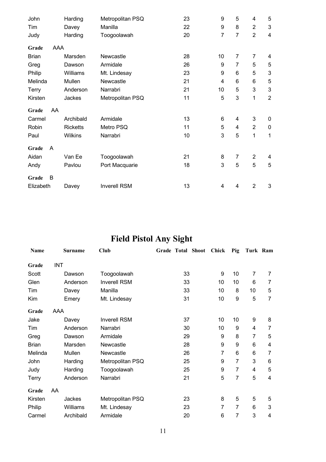| John         |     | Harding         | Metropolitan PSQ    | 23 | 9              | 5              | 4              | 5                         |
|--------------|-----|-----------------|---------------------|----|----------------|----------------|----------------|---------------------------|
| Tim          |     | Davey           | Manilla             | 22 | 9              | 8              | $\overline{2}$ | $\mathfrak{3}$            |
| Judy         |     | Harding         | Toogoolawah         | 20 | $\overline{7}$ | 7              | $\overline{2}$ | $\overline{4}$            |
| Grade        | AAA |                 |                     |    |                |                |                |                           |
| <b>Brian</b> |     | Marsden         | Newcastle           | 28 | 10             | $\overline{7}$ | $\overline{7}$ | 4                         |
| Greg         |     | Dawson          | Armidale            | 26 | 9              | 7              | 5              | 5                         |
| Philip       |     | Williams        | Mt. Lindesay        | 23 | 9              | 6              | 5              | $\ensuremath{\mathsf{3}}$ |
| Melinda      |     | Mullen          | Newcastle           | 21 | 4              | 6              | 6              | 5                         |
| Terry        |     | Anderson        | Narrabri            | 21 | 10             | 5              | 3              | $\ensuremath{\mathsf{3}}$ |
| Kirsten      |     | Jackes          | Metropolitan PSQ    | 11 | 5              | 3              | 1              | $\overline{2}$            |
| Grade        | AA  |                 |                     |    |                |                |                |                           |
| Carmel       |     | Archibald       | Armidale            | 13 | 6              | 4              | $\mathsf 3$    | $\pmb{0}$                 |
| Robin        |     | <b>Ricketts</b> | Metro PSQ           | 11 | 5              | 4              | $\overline{2}$ | $\pmb{0}$                 |
| Paul         |     | <b>Wilkins</b>  | Narrabri            | 10 | 3              | 5              | 1              | 1                         |
| Grade        | A   |                 |                     |    |                |                |                |                           |
| Aidan        |     | Van Ee          | Toogoolawah         | 21 | 8              | $\overline{7}$ | $\overline{2}$ | 4                         |
| Andy         |     | Pavlou          | Port Macquarie      | 18 | 3              | 5              | 5              | 5                         |
| Grade        | B   |                 |                     |    |                |                |                |                           |
| Elizabeth    |     | Davey           | <b>Inverell RSM</b> | 13 | 4              | 4              | $\overline{2}$ | 3                         |

## **Field Pistol Any Sight**

| Name         |            | <b>Surname</b> | Club                |    | Grade Total Shoot | Chick | Pig            | Turk Ram       |                |
|--------------|------------|----------------|---------------------|----|-------------------|-------|----------------|----------------|----------------|
| Grade        | <b>INT</b> |                |                     |    |                   |       |                |                |                |
| Scott        |            | Dawson         | Toogoolawah         | 33 |                   | 9     | 10             | 7              | 7              |
| Glen         |            | Anderson       | <b>Inverell RSM</b> | 33 |                   | 10    | 10             | 6              | 7              |
| Tim          |            | Davey          | Manilla             | 33 |                   | 10    | 8              | 10             | 5              |
| Kim          |            | Emery          | Mt. Lindesay        | 31 |                   | 10    | 9              | 5              | $\overline{7}$ |
| Grade        | AAA        |                |                     |    |                   |       |                |                |                |
| Jake         |            | Davey          | Inverell RSM        | 37 |                   | 10    | 10             | 9              | 8              |
| Tim          |            | Anderson       | Narrabri            | 30 |                   | 10    | 9              | $\overline{4}$ | 7              |
| Greg         |            | Dawson         | Armidale            | 29 |                   | 9     | 8              | 7              | 5              |
| <b>Brian</b> |            | Marsden        | Newcastle           | 28 |                   | 9     | 9              | 6              | 4              |
| Melinda      |            | Mullen         | Newcastle           | 26 |                   | 7     | 6              | 6              | 7              |
| John         |            | Harding        | Metropolitan PSQ    | 25 |                   | 9     | 7              | 3              | 6              |
| Judy         |            | Harding        | Toogoolawah         | 25 |                   | 9     | 7              | $\overline{4}$ | 5              |
| <b>Terry</b> |            | Anderson       | Narrabri            | 21 |                   | 5     | $\overline{7}$ | 5              | 4              |
| Grade        | AA         |                |                     |    |                   |       |                |                |                |
| Kirsten      |            | Jackes         | Metropolitan PSQ    | 23 |                   | 8     | 5              | 5              | 5              |
| Philip       |            | Williams       | Mt. Lindesay        | 23 |                   | 7     | 7              | 6              | 3              |
| Carmel       |            | Archibald      | Armidale            | 20 |                   | 6     | 7              | 3              | 4              |